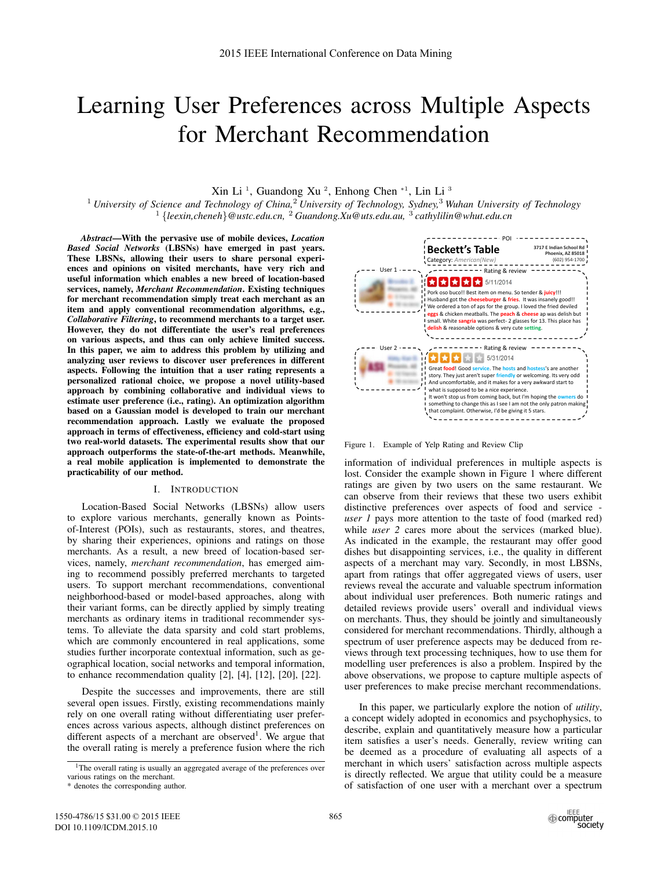# Learning User Preferences across Multiple Aspects for Merchant Recommendation

Xin Li <sup>1</sup>, Guandong Xu <sup>2</sup>, Enhong Chen <sup>∗</sup><sup>1</sup>, Lin Li <sup>3</sup>

<sup>1</sup> *University of Science and Technology of China,*<sup>2</sup> *University of Technology, Sydney,*<sup>3</sup> *Wuhan University of Technology* <sup>1</sup> {*leexin,cheneh*}*@ustc.edu.cn,* <sup>2</sup> *Guandong.Xu@uts.edu.au,* <sup>3</sup> *cathylilin@whut.edu.cn*

*Abstract*—With the pervasive use of mobile devices, *Location Based Social Networks* (LBSNs) have emerged in past years. These LBSNs, allowing their users to share personal experiences and opinions on visited merchants, have very rich and useful information which enables a new breed of location-based services, namely, *Merchant Recommendation*. Existing techniques for merchant recommendation simply treat each merchant as an item and apply conventional recommendation algorithms, e.g., *Collaborative Filtering*, to recommend merchants to a target user. However, they do not differentiate the user's real preferences on various aspects, and thus can only achieve limited success. In this paper, we aim to address this problem by utilizing and analyzing user reviews to discover user preferences in different aspects. Following the intuition that a user rating represents a personalized rational choice, we propose a novel utility-based approach by combining collaborative and individual views to estimate user preference (i.e., rating). An optimization algorithm based on a Gaussian model is developed to train our merchant recommendation approach. Lastly we evaluate the proposed approach in terms of effectiveness, efficiency and cold-start using two real-world datasets. The experimental results show that our approach outperforms the state-of-the-art methods. Meanwhile, a real mobile application is implemented to demonstrate the practicability of our method.

## I. INTRODUCTION

Location-Based Social Networks (LBSNs) allow users to explore various merchants, generally known as Pointsof-Interest (POIs), such as restaurants, stores, and theatres, by sharing their experiences, opinions and ratings on those merchants. As a result, a new breed of location-based services, namely, *merchant recommendation*, has emerged aiming to recommend possibly preferred merchants to targeted users. To support merchant recommendations, conventional neighborhood-based or model-based approaches, along with their variant forms, can be directly applied by simply treating merchants as ordinary items in traditional recommender systems. To alleviate the data sparsity and cold start problems, which are commonly encountered in real applications, some studies further incorporate contextual information, such as geographical location, social networks and temporal information, to enhance recommendation quality [2], [4], [12], [20], [22].

Despite the successes and improvements, there are still several open issues. Firstly, existing recommendations mainly rely on one overall rating without differentiating user preferences across various aspects, although distinct preferences on different aspects of a merchant are observed<sup>1</sup>. We argue that the overall rating is merely a preference fusion where the rich



Figure 1. Example of Yelp Rating and Review Clip

information of individual preferences in multiple aspects is lost. Consider the example shown in Figure 1 where different ratings are given by two users on the same restaurant. We can observe from their reviews that these two users exhibit distinctive preferences over aspects of food and service *user 1* pays more attention to the taste of food (marked red) while *user* 2 cares more about the services (marked blue). As indicated in the example, the restaurant may offer good dishes but disappointing services, i.e., the quality in different aspects of a merchant may vary. Secondly, in most LBSNs, apart from ratings that offer aggregated views of users, user reviews reveal the accurate and valuable spectrum information about individual user preferences. Both numeric ratings and detailed reviews provide users' overall and individual views on merchants. Thus, they should be jointly and simultaneously considered for merchant recommendations. Thirdly, although a spectrum of user preference aspects may be deduced from reviews through text processing techniques, how to use them for modelling user preferences is also a problem. Inspired by the above observations, we propose to capture multiple aspects of user preferences to make precise merchant recommendations.

In this paper, we particularly explore the notion of *utility*, a concept widely adopted in economics and psychophysics, to describe, explain and quantitatively measure how a particular item satisfies a user's needs. Generally, review writing can be deemed as a procedure of evaluating all aspects of a merchant in which users' satisfaction across multiple aspects is directly reflected. We argue that utility could be a measure of satisfaction of one user with a merchant over a spectrum

<sup>&</sup>lt;sup>1</sup>The overall rating is usually an aggregated average of the preferences over various ratings on the merchant.

<sup>\*</sup> denotes the corresponding author.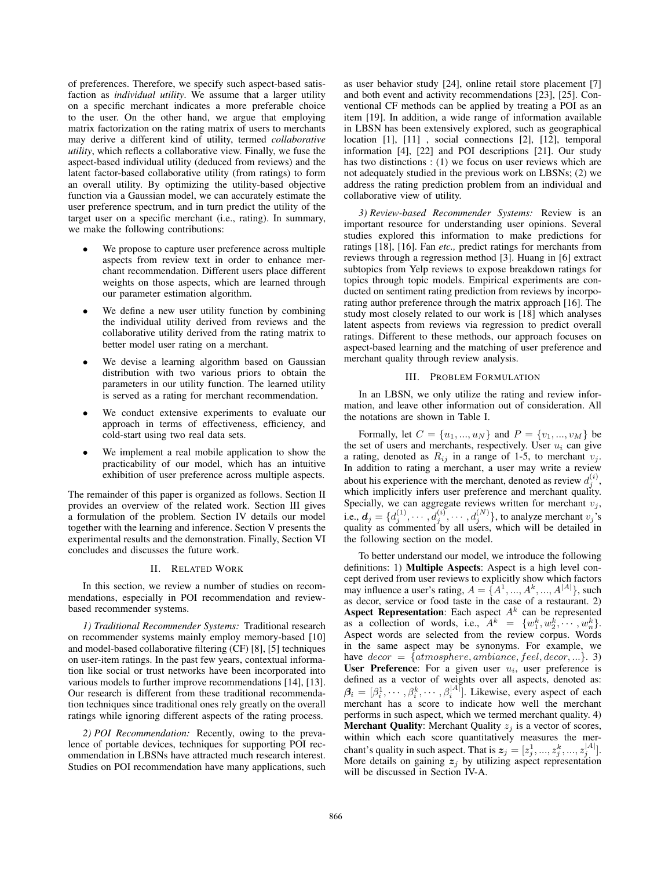of preferences. Therefore, we specify such aspect-based satisfaction as *individual utility*. We assume that a larger utility on a specific merchant indicates a more preferable choice to the user. On the other hand, we argue that employing matrix factorization on the rating matrix of users to merchants may derive a different kind of utility, termed *collaborative utility*, which reflects a collaborative view. Finally, we fuse the aspect-based individual utility (deduced from reviews) and the latent factor-based collaborative utility (from ratings) to form an overall utility. By optimizing the utility-based objective function via a Gaussian model, we can accurately estimate the user preference spectrum, and in turn predict the utility of the target user on a specific merchant (i.e., rating). In summary, we make the following contributions:

- We propose to capture user preference across multiple aspects from review text in order to enhance merchant recommendation. Different users place different weights on those aspects, which are learned through our parameter estimation algorithm.
- We define a new user utility function by combining the individual utility derived from reviews and the collaborative utility derived from the rating matrix to better model user rating on a merchant.
- We devise a learning algorithm based on Gaussian distribution with two various priors to obtain the parameters in our utility function. The learned utility is served as a rating for merchant recommendation.
- We conduct extensive experiments to evaluate our approach in terms of effectiveness, efficiency, and cold-start using two real data sets.
- We implement a real mobile application to show the practicability of our model, which has an intuitive exhibition of user preference across multiple aspects.

The remainder of this paper is organized as follows. Section II provides an overview of the related work. Section III gives a formulation of the problem. Section IV details our model together with the learning and inference. Section V presents the experimental results and the demonstration. Finally, Section VI concludes and discusses the future work.

# II. RELATED WORK

In this section, we review a number of studies on recommendations, especially in POI recommendation and reviewbased recommender systems.

*1) Traditional Recommender Systems:* Traditional research on recommender systems mainly employ memory-based [10] and model-based collaborative filtering (CF) [8], [5] techniques on user-item ratings. In the past few years, contextual information like social or trust networks have been incorporated into various models to further improve recommendations [14], [13]. Our research is different from these traditional recommendation techniques since traditional ones rely greatly on the overall ratings while ignoring different aspects of the rating process.

*2) POI Recommendation:* Recently, owing to the prevalence of portable devices, techniques for supporting POI recommendation in LBSNs have attracted much research interest. Studies on POI recommendation have many applications, such as user behavior study [24], online retail store placement [7] and both event and activity recommendations [23], [25]. Conventional CF methods can be applied by treating a POI as an item [19]. In addition, a wide range of information available in LBSN has been extensively explored, such as geographical location [1], [11] , social connections [2], [12], temporal information [4], [22] and POI descriptions [21]. Our study has two distinctions : (1) we focus on user reviews which are not adequately studied in the previous work on LBSNs; (2) we address the rating prediction problem from an individual and collaborative view of utility.

*3) Review-based Recommender Systems:* Review is an important resource for understanding user opinions. Several studies explored this information to make predictions for ratings [18], [16]. Fan *etc.,* predict ratings for merchants from reviews through a regression method [3]. Huang in [6] extract subtopics from Yelp reviews to expose breakdown ratings for topics through topic models. Empirical experiments are conducted on sentiment rating prediction from reviews by incorporating author preference through the matrix approach [16]. The study most closely related to our work is [18] which analyses latent aspects from reviews via regression to predict overall ratings. Different to these methods, our approach focuses on aspect-based learning and the matching of user preference and merchant quality through review analysis.

#### III. PROBLEM FORMULATION

In an LBSN, we only utilize the rating and review information, and leave other information out of consideration. All the notations are shown in Table I.

Formally, let  $C = \{u_1, ..., u_N\}$  and  $P = \{v_1, ..., v_M\}$  be the set of users and merchants, respectively. User *u*<sup>i</sup> can give a rating, denoted as  $R_{ij}$  in a range of 1-5, to merchant  $v_j$ . In addition to rating a merchant, a user may write a review about his experience with the merchant, denoted as review  $d_i^{(i)}$ , which implicitly infers user preference and merchant quality. Specially, we can aggregate reviews written for merchant  $v_j$ , i.e.,  $d_j = \{d_i^{(1)}, \cdots, d_i^{(i)}, \cdots, d_i^{(N)}\}$ , to analyze merchant  $v_j$ 's quality as commented by all users, which will be detailed in the following section on the model.

To better understand our model, we introduce the following definitions: 1) Multiple Aspects: Aspect is a high level concept derived from user reviews to explicitly show which factors may influence a user's rating,  $A = \{A^1, ..., A^k, ..., A^{|A|}\}$ , such as decor, service or food taste in the case of a restaurant. 2) **Aspect Representation**: Each aspect  $A<sup>k</sup>$  can be represented as a collection of words, i.e.,  $A^k = \{w_1^k, w_2^k, \dots, w_n^k\}.$ Aspect words are selected from the review corpus. Words in the same aspect may be synonyms. For example, we have *decor* = {*atmosphere, ambiance, feel, decor, ...*}. 3) User Preference: For a given user  $u_i$ , user preference is defined as a vector of weights over all aspects, denoted as:  $\beta_i = [\beta_i^1, \cdots, \beta_i^k, \cdots, \beta_i^{|A|}]$ . Likewise, every aspect of each merchant has a score to indicate how well the merchant performs in such aspect, which we termed merchant quality. 4) **Merchant Quality:** Merchant Quality  $z_j$  is a vector of scores, within which each score quantitatively measures the merchant's quality in such aspect. That is  $z_j = [z_1^1, ..., z_j^k, ..., z_j^{|A|}]$ . More details on gaining  $z_j$  by utilizing aspect representation will be discussed in Section IV-A.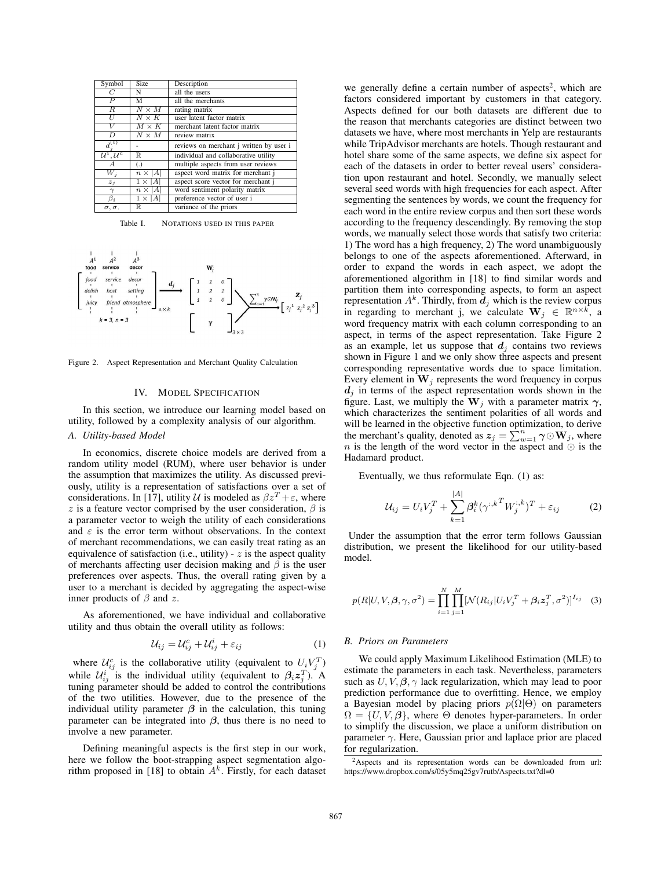| Symbol                                           | Size                    | Description                                           |
|--------------------------------------------------|-------------------------|-------------------------------------------------------|
| $\overline{C}$                                   | N                       | all the users                                         |
| $\overline{P}$                                   | M                       | all the merchants                                     |
| R                                                | $N \times M$            | rating matrix                                         |
| U                                                | $N \times K$            | user latent factor matrix                             |
| $\overline{V}$                                   | $\overline{M \times K}$ | merchant latent factor matrix                         |
| $\overline{D}$                                   | $N \times M$            | review matrix                                         |
| $\overline{d_i^{(i)}}$                           |                         | reviews on merchant <i>i</i> written by user <i>i</i> |
| $\overline{\mathcal{U}^{i}}$ , $\mathcal{U}^{c}$ | $\mathbb R$             | individual and collaborative utility                  |
| А                                                | $\left( .\right)$       | multiple aspects from user reviews                    |
| $W_i$                                            | $n \times  A $          | aspect word matrix for merchant j                     |
| $z_i$                                            | $1 \times  A $          | aspect score vector for merchant i                    |
| $\gamma$                                         | $n \times  A $          | word sentiment polarity matrix                        |
| $\beta_i$                                        | $1 \times  A $          | preference vector of user i                           |
| $\sigma$ , $\sigma$ .                            | $\mathbb R$             | variance of the priors                                |

Table I. NOTATIONS USED IN THIS PAPER



Figure 2. Aspect Representation and Merchant Quality Calculation

#### IV. MODEL SPECIFICATION

In this section, we introduce our learning model based on utility, followed by a complexity analysis of our algorithm.

## *A. Utility-based Model*

In economics, discrete choice models are derived from a random utility model (RUM), where user behavior is under the assumption that maximizes the utility. As discussed previously, utility is a representation of satisfactions over a set of considerations. In [17], utility U is modeled as  $\beta z^T + \epsilon$ , where *z* is a feature vector comprised by the user consideration, *β* is a parameter vector to weigh the utility of each considerations and  $\varepsilon$  is the error term without observations. In the context of merchant recommendations, we can easily treat rating as an equivalence of satisfaction (i.e., utility) -  $z$  is the aspect quality of merchants affecting user decision making and *β* is the user preferences over aspects. Thus, the overall rating given by a user to a merchant is decided by aggregating the aspect-wise inner products of *β* and *z*.

As aforementioned, we have individual and collaborative utility and thus obtain the overall utility as follows:

$$
\mathcal{U}_{ij} = \mathcal{U}_{ij}^c + \mathcal{U}_{ij}^i + \varepsilon_{ij}
$$
 (1)

where  $\mathcal{U}_{ij}^c$  is the collaborative utility (equivalent to  $U_i V_i^T$ ) while  $\mathcal{U}_{ij}^{i}$  is the individual utility (equivalent to  $\beta_i z_i^T$ ). A tuning parameter should be added to control the contributions of the two utilities. However, due to the presence of the individual utility parameter  $\beta$  in the calculation, this tuning parameter can be integrated into  $\beta$ , thus there is no need to involve a new parameter.

Defining meaningful aspects is the first step in our work, here we follow the boot-strapping aspect segmentation algorithm proposed in [18] to obtain  $A<sup>k</sup>$ . Firstly, for each dataset

we generally define a certain number of aspects<sup>2</sup>, which are factors considered important by customers in that category. Aspects defined for our both datasets are different due to the reason that merchants categories are distinct between two datasets we have, where most merchants in Yelp are restaurants while TripAdvisor merchants are hotels. Though restaurant and hotel share some of the same aspects, we define six aspect for each of the datasets in order to better reveal users' consideration upon restaurant and hotel. Secondly, we manually select several seed words with high frequencies for each aspect. After segmenting the sentences by words, we count the frequency for each word in the entire review corpus and then sort these words according to the frequency descendingly. By removing the stop words, we manually select those words that satisfy two criteria: 1) The word has a high frequency, 2) The word unambiguously belongs to one of the aspects aforementioned. Afterward, in order to expand the words in each aspect, we adopt the aforementioned algorithm in [18] to find similar words and partition them into corresponding aspects, to form an aspect representation  $A^k$ . Thirdly, from  $d_j$  which is the review corpus in regarding to merchant j, we calculate  $\mathbf{W}_i \in \mathbb{R}^{n \times k}$ , a word frequency matrix with each column corresponding to an aspect, in terms of the aspect representation. Take Figure 2 as an example, let us suppose that  $d_j$  contains two reviews shown in Figure 1 and we only show three aspects and present corresponding representative words due to space limitation. Every element in  $W_j$  represents the word frequency in corpus *d*<sup>j</sup> in terms of the aspect representation words shown in the figure. Last, we multiply the  $W_j$  with a parameter matrix  $\gamma$ , which characterizes the sentiment polarities of all words and will be learned in the objective function optimization, to derive the merchant's quality, denoted as  $z_j = \sum_{w=1}^{n} \gamma \odot \mathbf{W}_j$ , where *n* is the length of the word vector in the aspect and  $\odot$  is the Hadamard product.

Eventually, we thus reformulate Eqn. (1) as:

$$
\mathcal{U}_{ij} = U_i V_j^T + \sum_{k=1}^{|A|} \beta_i^k (\gamma^{:,k}^T W_j^{:,k})^T + \varepsilon_{ij}
$$
 (2)

Under the assumption that the error term follows Gaussian distribution, we present the likelihood for our utility-based model.

$$
p(R|U, V, \beta, \gamma, \sigma^2) = \prod_{i=1}^{N} \prod_{j=1}^{M} [\mathcal{N}(R_{ij}|U_i V_j^T + \beta_i z_j^T, \sigma^2)]^{I_{ij}} \quad (3)
$$

# *B. Priors on Parameters*

We could apply Maximum Likelihood Estimation (MLE) to estimate the parameters in each task. Nevertheless, parameters such as  $U, V, \beta, \gamma$  lack regularization, which may lead to poor prediction performance due to overfitting. Hence, we employ a Bayesian model by placing priors  $p(\Omega|\Theta)$  on parameters  $\Omega = \{U, V, \beta\}$ , where  $\Theta$  denotes hyper-parameters. In order to simplify the discussion, we place a uniform distribution on parameter *γ*. Here, Gaussian prior and laplace prior are placed for regularization.

<sup>&</sup>lt;sup>2</sup>Aspects and its representation words can be downloaded from url: https://www.dropbox.com/s/05y5mq25gv7rutb/Aspects.txt?dl=0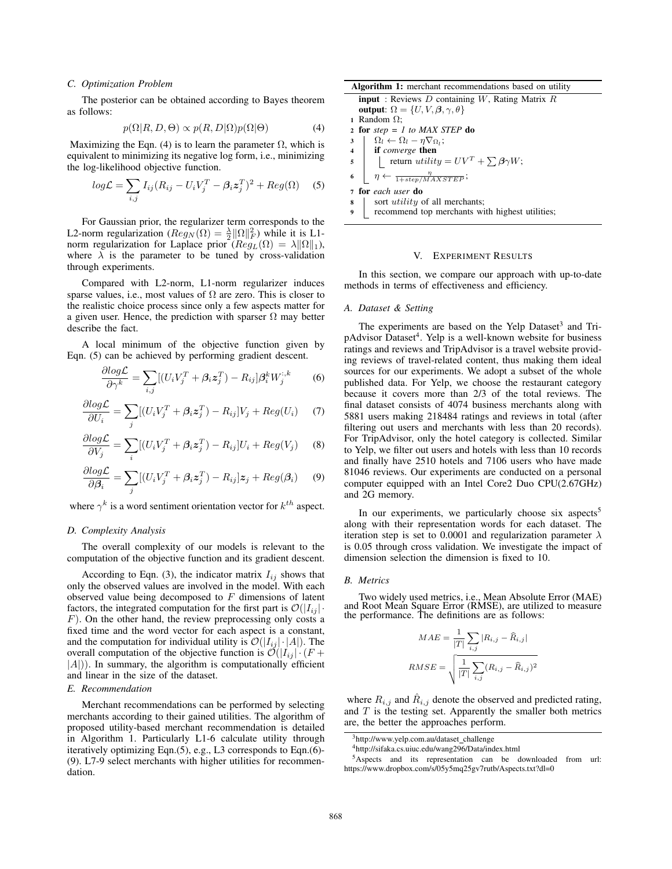# *C. Optimization Problem*

The posterior can be obtained according to Bayes theorem as follows:

$$
p(\Omega|R, D, \Theta) \propto p(R, D|\Omega)p(\Omega|\Theta)
$$
 (4)

Maximizing the Eqn. (4) is to learn the parameter  $\Omega$ , which is equivalent to minimizing its negative log form, i.e., minimizing the log-likelihood objective function.

$$
log\mathcal{L} = \sum_{i,j} I_{ij} (R_{ij} - U_i V_j^T - \beta_i \mathbf{z}_j^T)^2 + Reg(\Omega)
$$
 (5)

For Gaussian prior, the regularizer term corresponds to the L2-norm regularization ( $Reg_N(\Omega) = \frac{\lambda}{2} ||\Omega||_F^2$ ) while it is L1norm regularization for Laplace prior  $(Reg_L(\Omega) = \lambda ||\Omega||_1)$ , where  $\lambda$  is the parameter to be tuned by cross-validation through experiments.

Compared with L2-norm, L1-norm regularizer induces sparse values, i.e., most values of  $\Omega$  are zero. This is closer to the realistic choice process since only a few aspects matter for a given user. Hence, the prediction with sparser  $\Omega$  may better describe the fact.

A local minimum of the objective function given by Eqn. (5) can be achieved by performing gradient descent.

$$
\frac{\partial \log \mathcal{L}}{\partial \gamma^k} = \sum_{i,j} [(U_i V_j^T + \beta_i \mathbf{z}_j^T) - R_{ij}] \beta_i^k W_j^{:,k} \tag{6}
$$

$$
\frac{\partial log \mathcal{L}}{\partial U_i} = \sum_j [(U_i V_j^T + \beta_i \mathbf{z}_j^T) - R_{ij}]V_j + Reg(U_i) \tag{7}
$$

$$
\frac{\partial log \mathcal{L}}{\partial V_j} = \sum_i [(U_i V_j^T + \beta_i \mathbf{z}_j^T) - R_{ij}] U_i + Reg(V_j) \tag{8}
$$

$$
\frac{\partial log \mathcal{L}}{\partial \beta_i} = \sum_i [(U_i V_j^T + \beta_i z_j^T) - R_{ij}] z_j + Reg(\beta_i)
$$
 (9)

where  $\gamma^k$  is a word sentiment orientation vector for  $k^{th}$  aspect.

# *D. Complexity Analysis*

The overall complexity of our models is relevant to the computation of the objective function and its gradient descent.

According to Eqn. (3), the indicator matrix  $I_{ij}$  shows that only the observed values are involved in the model. With each observed value being decomposed to *F* dimensions of latent factors, the integrated computation for the first part is  $\mathcal{O}(|I_{ij}|)$ . *F*). On the other hand, the review preprocessing only costs a fixed time and the word vector for each aspect is a constant, and the computation for individual utility is  $\mathcal{O}(|I_{ij}| \cdot |A|)$ . The overall computation of the objective function is  $\mathcal{O}(|I_{ij}| \cdot (F +$ |*A*|)). In summary, the algorithm is computationally efficient and linear in the size of the dataset.

# *E. Recommendation*

Merchant recommendations can be performed by selecting merchants according to their gained utilities. The algorithm of proposed utility-based merchant recommendation is detailed in Algorithm 1. Particularly L1-6 calculate utility through iteratively optimizing Eqn.(5), e.g., L3 corresponds to Eqn.(6)- (9). L7-9 select merchants with higher utilities for recommendation.

Algorithm 1: merchant recommendations based on utility **input** : Reviews  $D$  containing  $W$ , Rating Matrix  $R$ **output**:  $Ω = {U, V, β, γ, θ}$ <sup>1</sup> Random Ω; <sup>2</sup> for *step = 1 to MAX STEP* do 3  $\Omega_l \leftarrow \Omega_l - \eta \nabla_{\Omega_l};$ <br>4 if converge then if *converge* then 5  $\left| \right|$  return utility =  $UV^T + \sum \beta \gamma W$ ; 6  $\eta \leftarrow \frac{\eta}{1+step/MAXSTEP};$ 

<sup>7</sup> for *each user* do

- sort *utility* of all merchants;
- recommend top merchants with highest utilities;

#### V. EXPERIMENT RESULTS

In this section, we compare our approach with up-to-date methods in terms of effectiveness and efficiency.

# *A. Dataset & Setting*

The experiments are based on the Yelp Dataset<sup>3</sup> and TripAdvisor Dataset<sup>4</sup>. Yelp is a well-known website for business ratings and reviews and TripAdvisor is a travel website providing reviews of travel-related content, thus making them ideal sources for our experiments. We adopt a subset of the whole published data. For Yelp, we choose the restaurant category because it covers more than 2/3 of the total reviews. The final dataset consists of 4074 business merchants along with 5881 users making 218484 ratings and reviews in total (after filtering out users and merchants with less than 20 records). For TripAdvisor, only the hotel category is collected. Similar to Yelp, we filter out users and hotels with less than 10 records and finally have 2510 hotels and 7106 users who have made 81046 reviews. Our experiments are conducted on a personal computer equipped with an Intel Core2 Duo CPU(2.67GHz) and 2G memory.

In our experiments, we particularly choose six aspects<sup>5</sup> along with their representation words for each dataset. The iteration step is set to 0.0001 and regularization parameter *λ* is 0.05 through cross validation. We investigate the impact of dimension selection the dimension is fixed to 10.

#### *B. Metrics*

Two widely used metrics, i.e., Mean Absolute Error (MAE) and Root Mean Square Error (RMSE), are utilized to measure the performance. The definitions are as follows:

$$
MAE = \frac{1}{|T|} \sum_{i,j} |R_{i,j} - \hat{R}_{i,j}|
$$

$$
RMSE = \sqrt{\frac{1}{|T|} \sum_{i,j} (R_{i,j} - \hat{R}_{i,j})^2}
$$

where  $R_{i,j}$  and  $\bar{R}_{i,j}$  denote the observed and predicted rating, and  $T$  is the testing set. Apparently the smaller both metrics are, the better the approaches perform.

<sup>3</sup>http://www.yelp.com.au/dataset\_challenge

<sup>4</sup>http://sifaka.cs.uiuc.edu/wang296/Data/index.html

<sup>&</sup>lt;sup>5</sup>Aspects and its representation can be downloaded from url: https://www.dropbox.com/s/05y5mq25gv7rutb/Aspects.txt?dl=0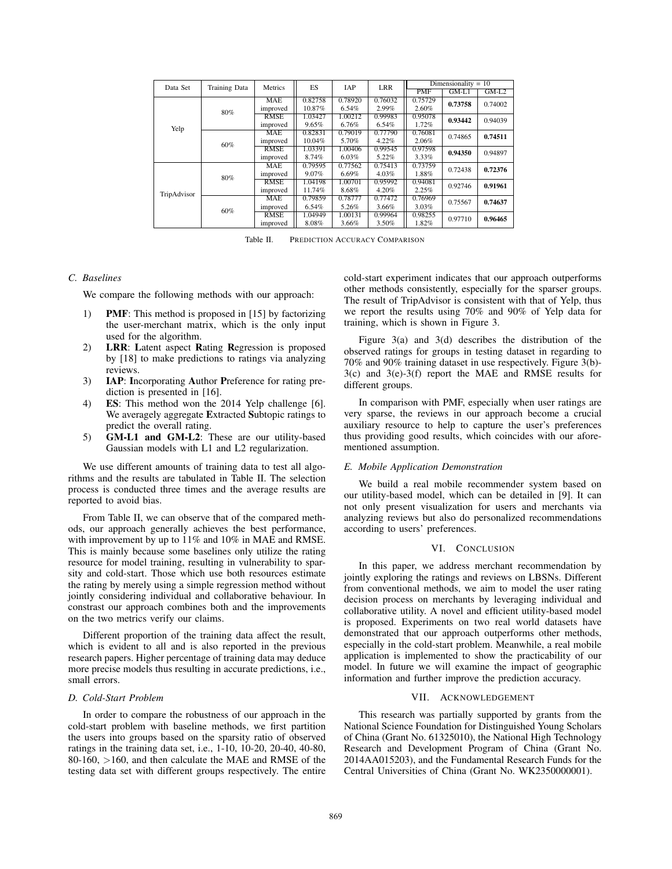| Data Set    | Training Data | Metrics     | ES       | <b>TAP</b> | <b>LRR</b> | Dimensionality = $10$ |         |         |
|-------------|---------------|-------------|----------|------------|------------|-----------------------|---------|---------|
|             |               |             |          |            |            | <b>PMF</b>            | $GM-L1$ | $GM-L2$ |
| Yelp        | 80%           | <b>MAE</b>  | 0.82758  | 0.78920    | 0.76032    | 0.75729               | 0.73758 | 0.74002 |
|             |               | improved    | 10.87%   | 6.54%      | $2.99\%$   | 2.60%                 |         |         |
|             |               | <b>RMSE</b> | 1.03427  | 1.00212    | 0.99983    | 0.95078               | 0.93442 | 0.94039 |
|             |               | improved    | 9.65%    | 6.76%      | 6.54%      | 1.72%                 |         |         |
|             | 60%           | <b>MAE</b>  | 0.82831  | 0.79019    | 0.77790    | 0.76081               | 0.74865 | 0.74511 |
|             |               | improved    | 10.04%   | 5.70%      | $4.22\%$   | 2.06%                 |         |         |
|             |               | <b>RMSE</b> | 1.03391  | 1.00406    | 0.99545    | 0.97598               | 0.94350 | 0.94897 |
|             |               | improved    | 8.74%    | 6.03%      | 5.22%      | 3.33%                 |         |         |
| TripAdvisor | 80%           | MAE         | 0.79595  | 0.77562    | 0.75413    | 0.73759               | 0.72438 | 0.72376 |
|             |               | improved    | $9.07\%$ | $6.69\%$   | $4.03\%$   | 1.88%                 |         |         |
|             |               | <b>RMSE</b> | 1.04198  | 1.00701    | 0.95992    | 0.94081               | 0.92746 | 0.91961 |
|             |               | improved    | 11.74%   | 8.68%      | 4.20%      | 2.25%                 |         |         |
|             | 60%           | MAE         | 0.79859  | 0.78777    | 0.77472    | 0.76969               | 0.75567 | 0.74637 |
|             |               | improved    | 6.54%    | 5.26%      | 3.66%      | $3.03\%$              |         |         |
|             |               | <b>RMSE</b> | 1.04949  | 1.00131    | 0.99964    | 0.98255               | 0.97710 | 0.96465 |
|             |               | improved    | 8.08%    | 3.66%      | 3.50%      | 1.82%                 |         |         |

Table II. PREDICTION ACCURACY COMPARISON

# *C. Baselines*

We compare the following methods with our approach:

- 1) PMF: This method is proposed in [15] by factorizing the user-merchant matrix, which is the only input used for the algorithm.
- 2) LRR: Latent aspect Rating Regression is proposed by [18] to make predictions to ratings via analyzing reviews.
- 3) IAP: Incorporating Author Preference for rating prediction is presented in [16].
- 4) ES: This method won the 2014 Yelp challenge [6]. We averagely aggregate Extracted Subtopic ratings to predict the overall rating.
- 5) GM-L1 and GM-L2: These are our utility-based Gaussian models with L1 and L2 regularization.

We use different amounts of training data to test all algorithms and the results are tabulated in Table II. The selection process is conducted three times and the average results are reported to avoid bias.

From Table II, we can observe that of the compared methods, our approach generally achieves the best performance, with improvement by up to 11% and 10% in MAE and RMSE. This is mainly because some baselines only utilize the rating resource for model training, resulting in vulnerability to sparsity and cold-start. Those which use both resources estimate the rating by merely using a simple regression method without jointly considering individual and collaborative behaviour. In constrast our approach combines both and the improvements on the two metrics verify our claims.

Different proportion of the training data affect the result, which is evident to all and is also reported in the previous research papers. Higher percentage of training data may deduce more precise models thus resulting in accurate predictions, i.e., small errors.

# *D. Cold-Start Problem*

In order to compare the robustness of our approach in the cold-start problem with baseline methods, we first partition the users into groups based on the sparsity ratio of observed ratings in the training data set, i.e., 1-10, 10-20, 20-40, 40-80, 80-160, *>*160, and then calculate the MAE and RMSE of the testing data set with different groups respectively. The entire cold-start experiment indicates that our approach outperforms other methods consistently, especially for the sparser groups. The result of TripAdvisor is consistent with that of Yelp, thus we report the results using 70% and 90% of Yelp data for training, which is shown in Figure 3.

Figure 3(a) and 3(d) describes the distribution of the observed ratings for groups in testing dataset in regarding to 70% and 90% training dataset in use respectively. Figure 3(b)- 3(c) and 3(e)-3(f) report the MAE and RMSE results for different groups.

In comparison with PMF, especially when user ratings are very sparse, the reviews in our approach become a crucial auxiliary resource to help to capture the user's preferences thus providing good results, which coincides with our aforementioned assumption.

#### *E. Mobile Application Demonstration*

We build a real mobile recommender system based on our utility-based model, which can be detailed in [9]. It can not only present visualization for users and merchants via analyzing reviews but also do personalized recommendations according to users' preferences.

# VI. CONCLUSION

In this paper, we address merchant recommendation by jointly exploring the ratings and reviews on LBSNs. Different from conventional methods, we aim to model the user rating decision process on merchants by leveraging individual and collaborative utility. A novel and efficient utility-based model is proposed. Experiments on two real world datasets have demonstrated that our approach outperforms other methods, especially in the cold-start problem. Meanwhile, a real mobile application is implemented to show the practicability of our model. In future we will examine the impact of geographic information and further improve the prediction accuracy.

#### VII. ACKNOWLEDGEMENT

This research was partially supported by grants from the National Science Foundation for Distinguished Young Scholars of China (Grant No. 61325010), the National High Technology Research and Development Program of China (Grant No. 2014AA015203), and the Fundamental Research Funds for the Central Universities of China (Grant No. WK2350000001).